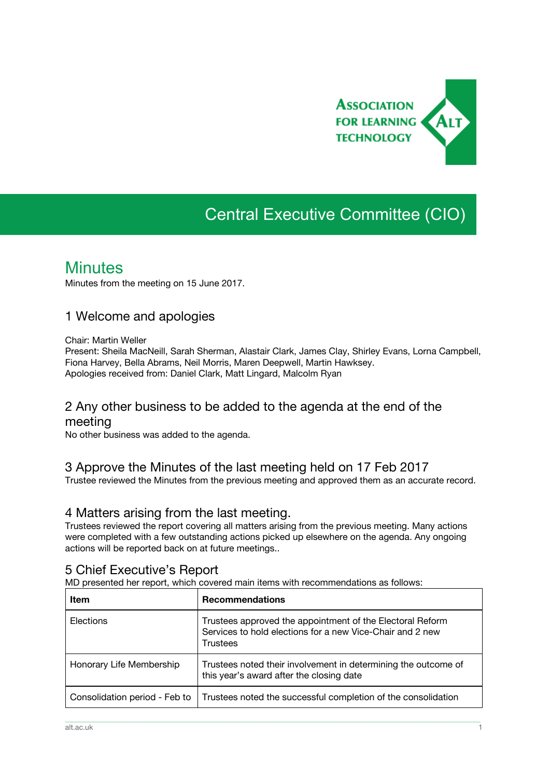

# Central Executive Committee (CIO)

## **Minutes**

Minutes from the meeting on 15 June 2017.

## 1 Welcome and apologies

Chair: Martin Weller

Present: Sheila MacNeill, Sarah Sherman, Alastair Clark, James Clay, Shirley Evans, Lorna Campbell, Fiona Harvey, Bella Abrams, Neil Morris, Maren Deepwell, Martin Hawksey. Apologies received from: Daniel Clark, Matt Lingard, Malcolm Ryan

## 2 Any other business to be added to the agenda at the end of the meeting

No other business was added to the agenda.

## 3 Approve the Minutes of the last meeting held on 17 Feb 2017

Trustee reviewed the Minutes from the previous meeting and approved them as an accurate record.

### 4 Matters arising from the last meeting.

Trustees reviewed the report covering all matters arising from the previous meeting. Many actions were completed with a few outstanding actions picked up elsewhere on the agenda. Any ongoing actions will be reported back on at future meetings..

## 5 Chief Executive's Report

MD presented her report, which covered main items with recommendations as follows:

| <b>Item</b>                   | <b>Recommendations</b>                                                                                                                    |
|-------------------------------|-------------------------------------------------------------------------------------------------------------------------------------------|
| Elections                     | Trustees approved the appointment of the Electoral Reform<br>Services to hold elections for a new Vice-Chair and 2 new<br><b>Trustees</b> |
| Honorary Life Membership      | Trustees noted their involvement in determining the outcome of<br>this year's award after the closing date                                |
| Consolidation period - Feb to | Trustees noted the successful completion of the consolidation                                                                             |

\_\_\_\_\_\_\_\_\_\_\_\_\_\_\_\_\_\_\_\_\_\_\_\_\_\_\_\_\_\_\_\_\_\_\_\_\_\_\_\_\_\_\_\_\_\_\_\_\_\_\_\_\_\_\_\_\_\_\_\_\_\_\_\_\_\_\_\_\_\_\_\_\_\_\_\_\_\_\_\_\_\_\_\_\_\_\_\_\_\_\_\_\_\_\_\_\_\_\_\_\_\_\_\_\_\_\_\_\_\_\_\_\_\_\_\_\_\_\_\_\_\_\_\_\_\_\_\_\_\_\_\_\_\_\_\_\_\_\_\_\_\_\_\_\_\_\_\_\_\_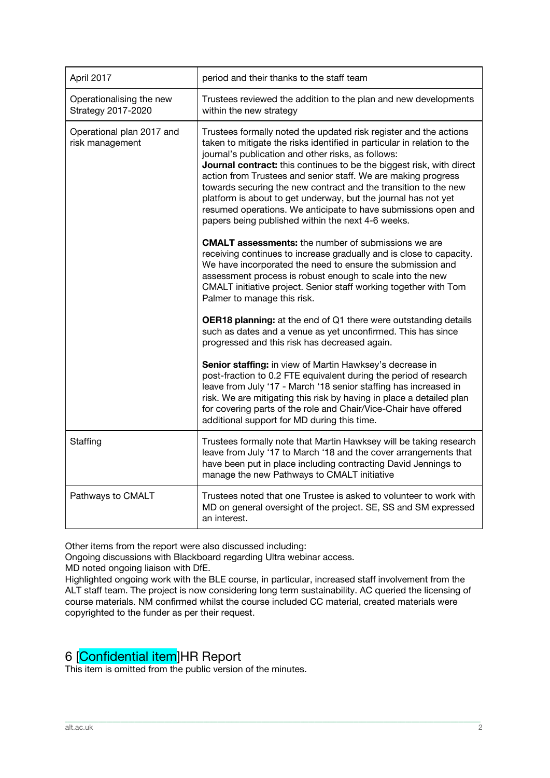| April 2017                                     | period and their thanks to the staff team                                                                                                                                                                                                                                                                                                                                                                                                                                                                                                                                                               |
|------------------------------------------------|---------------------------------------------------------------------------------------------------------------------------------------------------------------------------------------------------------------------------------------------------------------------------------------------------------------------------------------------------------------------------------------------------------------------------------------------------------------------------------------------------------------------------------------------------------------------------------------------------------|
| Operationalising the new<br>Strategy 2017-2020 | Trustees reviewed the addition to the plan and new developments<br>within the new strategy                                                                                                                                                                                                                                                                                                                                                                                                                                                                                                              |
| Operational plan 2017 and<br>risk management   | Trustees formally noted the updated risk register and the actions<br>taken to mitigate the risks identified in particular in relation to the<br>journal's publication and other risks, as follows:<br>Journal contract: this continues to be the biggest risk, with direct<br>action from Trustees and senior staff. We are making progress<br>towards securing the new contract and the transition to the new<br>platform is about to get underway, but the journal has not yet<br>resumed operations. We anticipate to have submissions open and<br>papers being published within the next 4-6 weeks. |
|                                                | <b>CMALT</b> assessments: the number of submissions we are<br>receiving continues to increase gradually and is close to capacity.<br>We have incorporated the need to ensure the submission and<br>assessment process is robust enough to scale into the new<br>CMALT initiative project. Senior staff working together with Tom<br>Palmer to manage this risk.                                                                                                                                                                                                                                         |
|                                                | <b>OER18 planning:</b> at the end of Q1 there were outstanding details<br>such as dates and a venue as yet unconfirmed. This has since<br>progressed and this risk has decreased again.                                                                                                                                                                                                                                                                                                                                                                                                                 |
|                                                | Senior staffing: in view of Martin Hawksey's decrease in<br>post-fraction to 0.2 FTE equivalent during the period of research<br>leave from July '17 - March '18 senior staffing has increased in<br>risk. We are mitigating this risk by having in place a detailed plan<br>for covering parts of the role and Chair/Vice-Chair have offered<br>additional support for MD during this time.                                                                                                                                                                                                            |
| Staffing                                       | Trustees formally note that Martin Hawksey will be taking research<br>leave from July '17 to March '18 and the cover arrangements that<br>have been put in place including contracting David Jennings to<br>manage the new Pathways to CMALT initiative                                                                                                                                                                                                                                                                                                                                                 |
| Pathways to CMALT                              | Trustees noted that one Trustee is asked to volunteer to work with<br>MD on general oversight of the project. SE, SS and SM expressed<br>an interest.                                                                                                                                                                                                                                                                                                                                                                                                                                                   |

Other items from the report were also discussed including:

Ongoing discussions with Blackboard regarding Ultra webinar access.

MD noted ongoing liaison with DfE.

Highlighted ongoing work with the BLE course, in particular, increased staff involvement from the ALT staff team. The project is now considering long term sustainability. AC queried the licensing of course materials. NM confirmed whilst the course included CC material, created materials were copyrighted to the funder as per their request.

\_\_\_\_\_\_\_\_\_\_\_\_\_\_\_\_\_\_\_\_\_\_\_\_\_\_\_\_\_\_\_\_\_\_\_\_\_\_\_\_\_\_\_\_\_\_\_\_\_\_\_\_\_\_\_\_\_\_\_\_\_\_\_\_\_\_\_\_\_\_\_\_\_\_\_\_\_\_\_\_\_\_\_\_\_\_\_\_\_\_\_\_\_\_\_\_\_\_\_\_\_\_\_\_\_\_\_\_\_\_\_\_\_\_\_\_\_\_\_\_\_\_\_\_\_\_\_\_\_\_\_\_\_\_\_\_\_\_\_\_\_\_\_\_\_\_\_\_\_\_

## 6 [Confidential item]HR Report

This item is omitted from the public version of the minutes.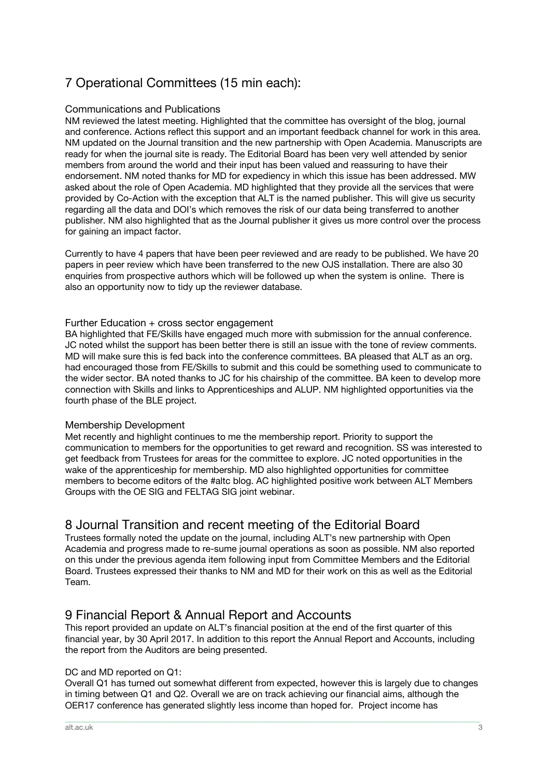## 7 Operational Committees (15 min each):

#### Communications and Publications

NM reviewed the latest meeting. Highlighted that the committee has oversight of the blog, journal and conference. Actions reflect this support and an important feedback channel for work in this area. NM updated on the Journal transition and the new partnership with Open Academia. Manuscripts are ready for when the journal site is ready. The Editorial Board has been very well attended by senior members from around the world and their input has been valued and reassuring to have their endorsement. NM noted thanks for MD for expediency in which this issue has been addressed. MW asked about the role of Open Academia. MD highlighted that they provide all the services that were provided by Co-Action with the exception that ALT is the named publisher. This will give us security regarding all the data and DOI's which removes the risk of our data being transferred to another publisher. NM also highlighted that as the Journal publisher it gives us more control over the process for gaining an impact factor.

Currently to have 4 papers that have been peer reviewed and are ready to be published. We have 20 papers in peer review which have been transferred to the new OJS installation. There are also 30 enquiries from prospective authors which will be followed up when the system is online. There is also an opportunity now to tidy up the reviewer database.

#### Further Education + cross sector engagement

BA highlighted that FE/Skills have engaged much more with submission for the annual conference. JC noted whilst the support has been better there is still an issue with the tone of review comments. MD will make sure this is fed back into the conference committees. BA pleased that ALT as an org. had encouraged those from FE/Skills to submit and this could be something used to communicate to the wider sector. BA noted thanks to JC for his chairship of the committee. BA keen to develop more connection with Skills and links to Apprenticeships and ALUP. NM highlighted opportunities via the fourth phase of the BLE project.

#### Membership Development

Met recently and highlight continues to me the membership report. Priority to support the communication to members for the opportunities to get reward and recognition. SS was interested to get feedback from Trustees for areas for the committee to explore. JC noted opportunities in the wake of the apprenticeship for membership. MD also highlighted opportunities for committee members to become editors of the #altc blog. AC highlighted positive work between ALT Members Groups with the OE SIG and FELTAG SIG joint webinar.

## 8 Journal Transition and recent meeting of the Editorial Board

Trustees formally noted the update on the journal, including ALT's new partnership with Open Academia and progress made to re-sume journal operations as soon as possible. NM also reported on this under the previous agenda item following input from Committee Members and the Editorial Board. Trustees expressed their thanks to NM and MD for their work on this as well as the Editorial Team.

## 9 Financial Report & Annual Report and Accounts

This report provided an update on ALT's financial position at the end of the first quarter of this financial year, by 30 April 2017. In addition to this report the Annual Report and Accounts, including the report from the Auditors are being presented.

#### DC and MD reported on Q1:

Overall Q1 has turned out somewhat different from expected, however this is largely due to changes in timing between Q1 and Q2. Overall we are on track achieving our financial aims, although the OER17 conference has generated slightly less income than hoped for. Project income has

\_\_\_\_\_\_\_\_\_\_\_\_\_\_\_\_\_\_\_\_\_\_\_\_\_\_\_\_\_\_\_\_\_\_\_\_\_\_\_\_\_\_\_\_\_\_\_\_\_\_\_\_\_\_\_\_\_\_\_\_\_\_\_\_\_\_\_\_\_\_\_\_\_\_\_\_\_\_\_\_\_\_\_\_\_\_\_\_\_\_\_\_\_\_\_\_\_\_\_\_\_\_\_\_\_\_\_\_\_\_\_\_\_\_\_\_\_\_\_\_\_\_\_\_\_\_\_\_\_\_\_\_\_\_\_\_\_\_\_\_\_\_\_\_\_\_\_\_\_\_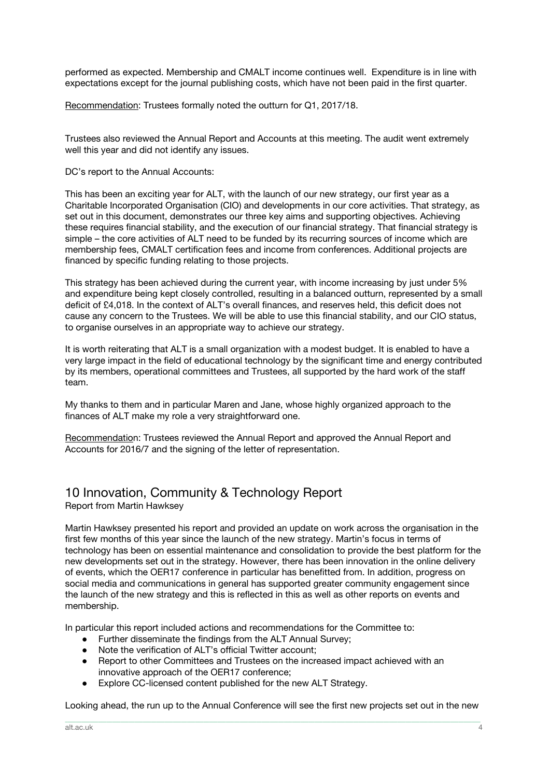performed as expected. Membership and CMALT income continues well. Expenditure is in line with expectations except for the journal publishing costs, which have not been paid in the first quarter.

Recommendation: Trustees formally noted the outturn for Q1, 2017/18.

Trustees also reviewed the Annual Report and Accounts at this meeting. The audit went extremely well this year and did not identify any issues.

DC's report to the Annual Accounts:

This has been an exciting year for ALT, with the launch of our new strategy, our first year as a Charitable Incorporated Organisation (CIO) and developments in our core activities. That strategy, as set out in this document, demonstrates our three key aims and supporting objectives. Achieving these requires financial stability, and the execution of our financial strategy. That financial strategy is simple – the core activities of ALT need to be funded by its recurring sources of income which are membership fees, CMALT certification fees and income from conferences. Additional projects are financed by specific funding relating to those projects.

This strategy has been achieved during the current year, with income increasing by just under 5% and expenditure being kept closely controlled, resulting in a balanced outturn, represented by a small deficit of £4,018. In the context of ALT's overall finances, and reserves held, this deficit does not cause any concern to the Trustees. We will be able to use this financial stability, and our CIO status, to organise ourselves in an appropriate way to achieve our strategy.

It is worth reiterating that ALT is a small organization with a modest budget. It is enabled to have a very large impact in the field of educational technology by the significant time and energy contributed by its members, operational committees and Trustees, all supported by the hard work of the staff team.

My thanks to them and in particular Maren and Jane, whose highly organized approach to the finances of ALT make my role a very straightforward one.

Recommendation: Trustees reviewed the Annual Report and approved the Annual Report and Accounts for 2016/7 and the signing of the letter of representation.

#### 10 Innovation, Community & Technology Report Report from Martin Hawksey

Martin Hawksey presented his report and provided an update on work across the organisation in the first few months of this year since the launch of the new strategy. Martin's focus in terms of technology has been on essential maintenance and consolidation to provide the best platform for the new developments set out in the strategy. However, there has been innovation in the online delivery of events, which the OER17 conference in particular has benefitted from. In addition, progress on social media and communications in general has supported greater community engagement since the launch of the new strategy and this is reflected in this as well as other reports on events and membership.

In particular this report included actions and recommendations for the Committee to:

- Further disseminate the findings from the ALT Annual Survey;
- Note the verification of ALT's official Twitter account;
- Report to other Committees and Trustees on the increased impact achieved with an innovative approach of the OER17 conference;
- Explore CC-licensed content published for the new ALT Strategy.

Looking ahead, the run up to the Annual Conference will see the first new projects set out in the new \_\_\_\_\_\_\_\_\_\_\_\_\_\_\_\_\_\_\_\_\_\_\_\_\_\_\_\_\_\_\_\_\_\_\_\_\_\_\_\_\_\_\_\_\_\_\_\_\_\_\_\_\_\_\_\_\_\_\_\_\_\_\_\_\_\_\_\_\_\_\_\_\_\_\_\_\_\_\_\_\_\_\_\_\_\_\_\_\_\_\_\_\_\_\_\_\_\_\_\_\_\_\_\_\_\_\_\_\_\_\_\_\_\_\_\_\_\_\_\_\_\_\_\_\_\_\_\_\_\_\_\_\_\_\_\_\_\_\_\_\_\_\_\_\_\_\_\_\_\_